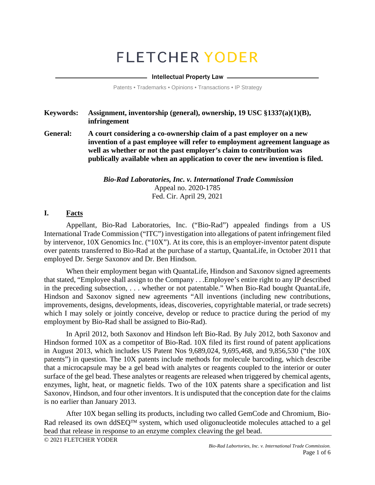# **FLETCHER YODER**

#### - Intellectual Property Law -

Patents • Trademarks • Opinions • Transactions • IP Strategy

#### **Keywords: Assignment, inventorship (general), ownership, 19 USC §1337(a)(1)(B), infringement**

**General: A court considering a co-ownership claim of a past employer on a new invention of a past employee will refer to employment agreement language as well as whether or not the past employer's claim to contribution was publically available when an application to cover the new invention is filed.** 

> *Bio-Rad Laboratories, Inc. v. International Trade Commission* Appeal no. 2020-1785 Fed. Cir. April 29, 2021

#### **I. Facts**

Appellant, Bio-Rad Laboratories, Inc. ("Bio-Rad") appealed findings from a US International Trade Commission ("ITC") investigation into allegations of patent infringement filed by intervenor, 10X Genomics Inc. ("10X"). At its core, this is an employer-inventor patent dispute over patents transferred to Bio-Rad at the purchase of a startup, QuantaLife, in October 2011 that employed Dr. Serge Saxonov and Dr. Ben Hindson.

When their employment began with QuantaLife, Hindson and Saxonov signed agreements that stated, "Employee shall assign to the Company . . .Employee's entire right to any IP described in the preceding subsection, . . . whether or not patentable." When Bio-Rad bought QuantaLife, Hindson and Saxonov signed new agreements "All inventions (including new contributions, improvements, designs, developments, ideas, discoveries, copyrightable material, or trade secrets) which I may solely or jointly conceive, develop or reduce to practice during the period of my employment by Bio-Rad shall be assigned to Bio-Rad).

In April 2012, both Saxonov and Hindson left Bio-Rad. By July 2012, both Saxonov and Hindson formed 10X as a competitor of Bio-Rad. 10X filed its first round of patent applications in August 2013, which includes US Patent Nos 9,689,024, 9,695,468, and 9,856,530 ("the 10X patents") in question. The 10X patents include methods for molecule barcoding, which describe that a microcapsule may be a gel bead with analytes or reagents coupled to the interior or outer surface of the gel bead. These analytes or reagents are released when triggered by chemical agents, enzymes, light, heat, or magnetic fields. Two of the 10X patents share a specification and list Saxonov, Hindson, and four other inventors. It is undisputed that the conception date for the claims is no earlier than January 2013.

After 10X began selling its products, including two called GemCode and Chromium, Bio-Rad released its own ddSEQ<sup>TM</sup> system, which used oligonucleotide molecules attached to a gel bead that release in response to an enzyme complex cleaving the gel bead.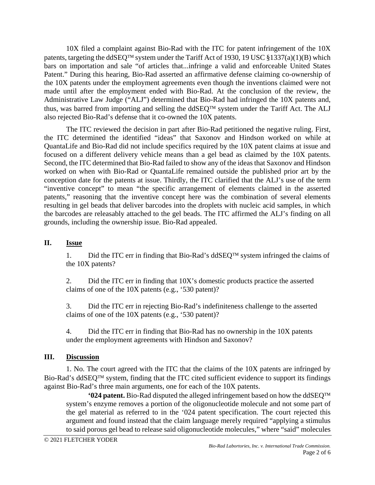10X filed a complaint against Bio-Rad with the ITC for patent infringement of the 10X patents, targeting the ddSEO<sup>TM</sup> system under the Tariff Act of 1930, 19 USC §1337(a)(1)(B) which bars on importation and sale "of articles that...infringe a valid and enforceable United States Patent." During this hearing, Bio-Rad asserted an affirmative defense claiming co-ownership of the 10X patents under the employment agreements even though the inventions claimed were not made until after the employment ended with Bio-Rad. At the conclusion of the review, the Administrative Law Judge ("ALJ") determined that Bio-Rad had infringed the 10X patents and, thus, was barred from importing and selling the ddSEQ<sup>TM</sup> system under the Tariff Act. The ALJ also rejected Bio-Rad's defense that it co-owned the 10X patents.

The ITC reviewed the decision in part after Bio-Rad petitioned the negative ruling. First, the ITC determined the identified "ideas" that Saxonov and Hindson worked on while at QuantaLife and Bio-Rad did not include specifics required by the 10X patent claims at issue and focused on a different delivery vehicle means than a gel bead as claimed by the 10X patents. Second, the ITC determined that Bio-Rad failed to show any of the ideas that Saxonov and Hindson worked on when with Bio-Rad or QuantaLife remained outside the published prior art by the conception date for the patents at issue. Thirdly, the ITC clarified that the ALJ's use of the term "inventive concept" to mean "the specific arrangement of elements claimed in the asserted patents," reasoning that the inventive concept here was the combination of several elements resulting in gel beads that deliver barcodes into the droplets with nucleic acid samples, in which the barcodes are releasably attached to the gel beads. The ITC affirmed the ALJ's finding on all grounds, including the ownership issue. Bio-Rad appealed.

## **II. Issue**

1. Did the ITC err in finding that Bio-Rad's ddSEQ<sup>TM</sup> system infringed the claims of the 10X patents?

2. Did the ITC err in finding that 10X's domestic products practice the asserted claims of one of the 10X patents (e.g., '530 patent)?

3. Did the ITC err in rejecting Bio-Rad's indefiniteness challenge to the asserted claims of one of the 10X patents (e.g., '530 patent)?

4. Did the ITC err in finding that Bio-Rad has no ownership in the 10X patents under the employment agreements with Hindson and Saxonov?

## **III. Discussion**

1. No. The court agreed with the ITC that the claims of the 10X patents are infringed by Bio-Rad's ddSEO<sup>TM</sup> system, finding that the ITC cited sufficient evidence to support its findings against Bio-Rad's three main arguments, one for each of the 10X patents.

**'024 patent.** Bio-Rad disputed the alleged infringement based on how the ddSEO<sup>TM</sup> system's enzyme removes a portion of the oligonucleotide molecule and not some part of the gel material as referred to in the '024 patent specification. The court rejected this argument and found instead that the claim language merely required "applying a stimulus to said porous gel bead to release said oligonucleotide molecules," where "said" molecules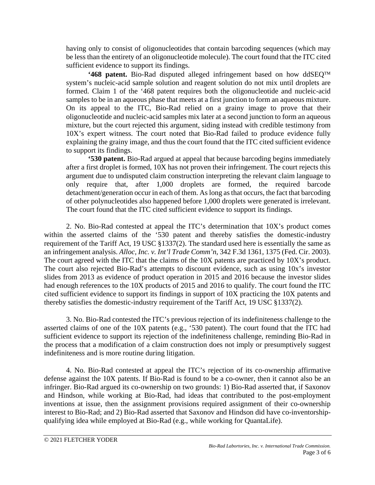having only to consist of oligonucleotides that contain barcoding sequences (which may be less than the entirety of an oligonucleotide molecule). The court found that the ITC cited sufficient evidence to support its findings.

**'468 patent.** Bio-Rad disputed alleged infringement based on how ddSEQ<sup>TM</sup> system's nucleic-acid sample solution and reagent solution do not mix until droplets are formed. Claim 1 of the '468 patent requires both the oligonucleotide and nucleic-acid samples to be in an aqueous phase that meets at a first junction to form an aqueous mixture. On its appeal to the ITC, Bio-Rad relied on a grainy image to prove that their oligonucleotide and nucleic-acid samples mix later at a second junction to form an aqueous mixture, but the court rejected this argument, siding instead with credible testimony from 10X's expert witness. The court noted that Bio-Rad failed to produce evidence fully explaining the grainy image, and thus the court found that the ITC cited sufficient evidence to support its findings.

**'530 patent.** Bio-Rad argued at appeal that because barcoding begins immediately after a first droplet is formed, 10X has not proven their infringement. The court rejects this argument due to undisputed claim construction interpreting the relevant claim language to only require that, after 1,000 droplets are formed, the required barcode detachment/generation occur in each of them. As long as that occurs, the fact that barcoding of other polynucleotides also happened before 1,000 droplets were generated is irrelevant. The court found that the ITC cited sufficient evidence to support its findings.

2. No. Bio-Rad contested at appeal the ITC's determination that 10X's product comes within the asserted claims of the '530 patent and thereby satisfies the domestic-industry requirement of the Tariff Act, 19 USC §1337(2). The standard used here is essentially the same as an infringement analysis. *Alloc, Inc. v. Int'l Trade Comm'n*, 342 F.3d 1361, 1375 (Fed. Cir. 2003). The court agreed with the ITC that the claims of the 10X patents are practiced by 10X's product. The court also rejected Bio-Rad's attempts to discount evidence, such as using 10x's investor slides from 2013 as evidence of product operation in 2015 and 2016 because the investor slides had enough references to the 10X products of 2015 and 2016 to qualify. The court found the ITC cited sufficient evidence to support its findings in support of 10X practicing the 10X patents and thereby satisfies the domestic-industry requirement of the Tariff Act, 19 USC §1337(2).

3. No. Bio-Rad contested the ITC's previous rejection of its indefiniteness challenge to the asserted claims of one of the 10X patents (e.g., '530 patent). The court found that the ITC had sufficient evidence to support its rejection of the indefiniteness challenge, reminding Bio-Rad in the process that a modification of a claim construction does not imply or presumptively suggest indefiniteness and is more routine during litigation.

4. No. Bio-Rad contested at appeal the ITC's rejection of its co-ownership affirmative defense against the 10X patents. If Bio-Rad is found to be a co-owner, then it cannot also be an infringer. Bio-Rad argued its co-ownership on two grounds: 1) Bio-Rad asserted that, if Saxonov and Hindson, while working at Bio-Rad, had ideas that contributed to the post-employment inventions at issue, then the assignment provisions required assignment of their co-ownership interest to Bio-Rad; and 2) Bio-Rad asserted that Saxonov and Hindson did have co-inventorshipqualifying idea while employed at Bio-Rad (e.g., while working for QuantaLife).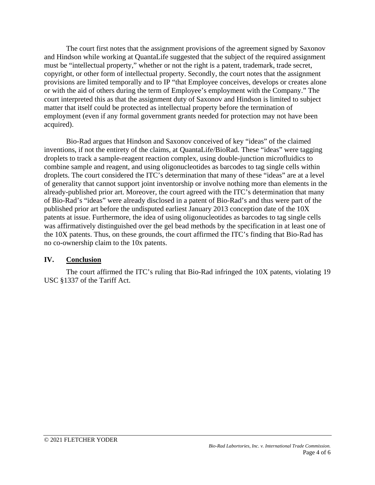The court first notes that the assignment provisions of the agreement signed by Saxonov and Hindson while working at QuantaLife suggested that the subject of the required assignment must be "intellectual property," whether or not the right is a patent, trademark, trade secret, copyright, or other form of intellectual property. Secondly, the court notes that the assignment provisions are limited temporally and to IP "that Employee conceives, develops or creates alone or with the aid of others during the term of Employee's employment with the Company." The court interpreted this as that the assignment duty of Saxonov and Hindson is limited to subject matter that itself could be protected as intellectual property before the termination of employment (even if any formal government grants needed for protection may not have been acquired).

Bio-Rad argues that Hindson and Saxonov conceived of key "ideas" of the claimed inventions, if not the entirety of the claims, at QuantaLife/BioRad. These "ideas" were tagging droplets to track a sample-reagent reaction complex, using double-junction microfluidics to combine sample and reagent, and using oligonucleotides as barcodes to tag single cells within droplets. The court considered the ITC's determination that many of these "ideas" are at a level of generality that cannot support joint inventorship or involve nothing more than elements in the already-published prior art. Moreover, the court agreed with the ITC's determination that many of Bio-Rad's "ideas" were already disclosed in a patent of Bio-Rad's and thus were part of the published prior art before the undisputed earliest January 2013 conception date of the 10X patents at issue. Furthermore, the idea of using oligonucleotides as barcodes to tag single cells was affirmatively distinguished over the gel bead methods by the specification in at least one of the 10X patents. Thus, on these grounds, the court affirmed the ITC's finding that Bio-Rad has no co-ownership claim to the 10x patents.

## **IV. Conclusion**

The court affirmed the ITC's ruling that Bio-Rad infringed the 10X patents, violating 19 USC §1337 of the Tariff Act.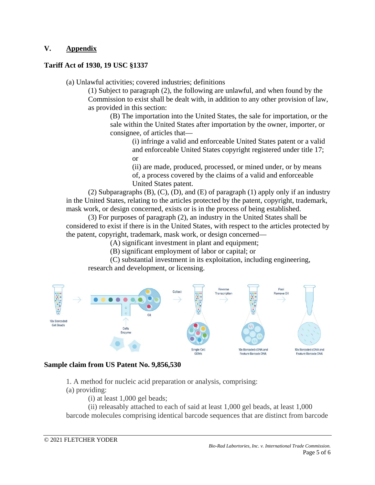# **V. Appendix**

## **Tariff Act of 1930, 19 USC §1337**

(a) Unlawful activities; covered industries; definitions

(1) Subject to paragraph (2), the following are unlawful, and when found by the Commission to exist shall be dealt with, in addition to any other provision of law, as provided in this section:

(B) The importation into the United States, the sale for importation, or the sale within the United States after importation by the owner, importer, or consignee, of articles that—

> (i) infringe a valid and enforceable United States patent or a valid and enforceable United States copyright registered under title 17; or

(ii) are made, produced, processed, or mined under, or by means of, a process covered by the claims of a valid and enforceable United States patent.

(2) Subparagraphs (B), (C), (D), and (E) of paragraph (1) apply only if an industry in the United States, relating to the articles protected by the patent, copyright, trademark, mask work, or design concerned, exists or is in the process of being established.

(3) For purposes of paragraph (2), an industry in the United States shall be considered to exist if there is in the United States, with respect to the articles protected by the patent, copyright, trademark, mask work, or design concerned—

(A) significant investment in plant and equipment;

(B) significant employment of labor or capital; or

(C) substantial investment in its exploitation, including engineering, research and development, or licensing.



## **Sample claim from US Patent No. 9,856,530**

1. A method for nucleic acid preparation or analysis, comprising:

(a) providing:

(i) at least 1,000 gel beads;

(ii) releasably attached to each of said at least 1,000 gel beads, at least 1,000 barcode molecules comprising identical barcode sequences that are distinct from barcode